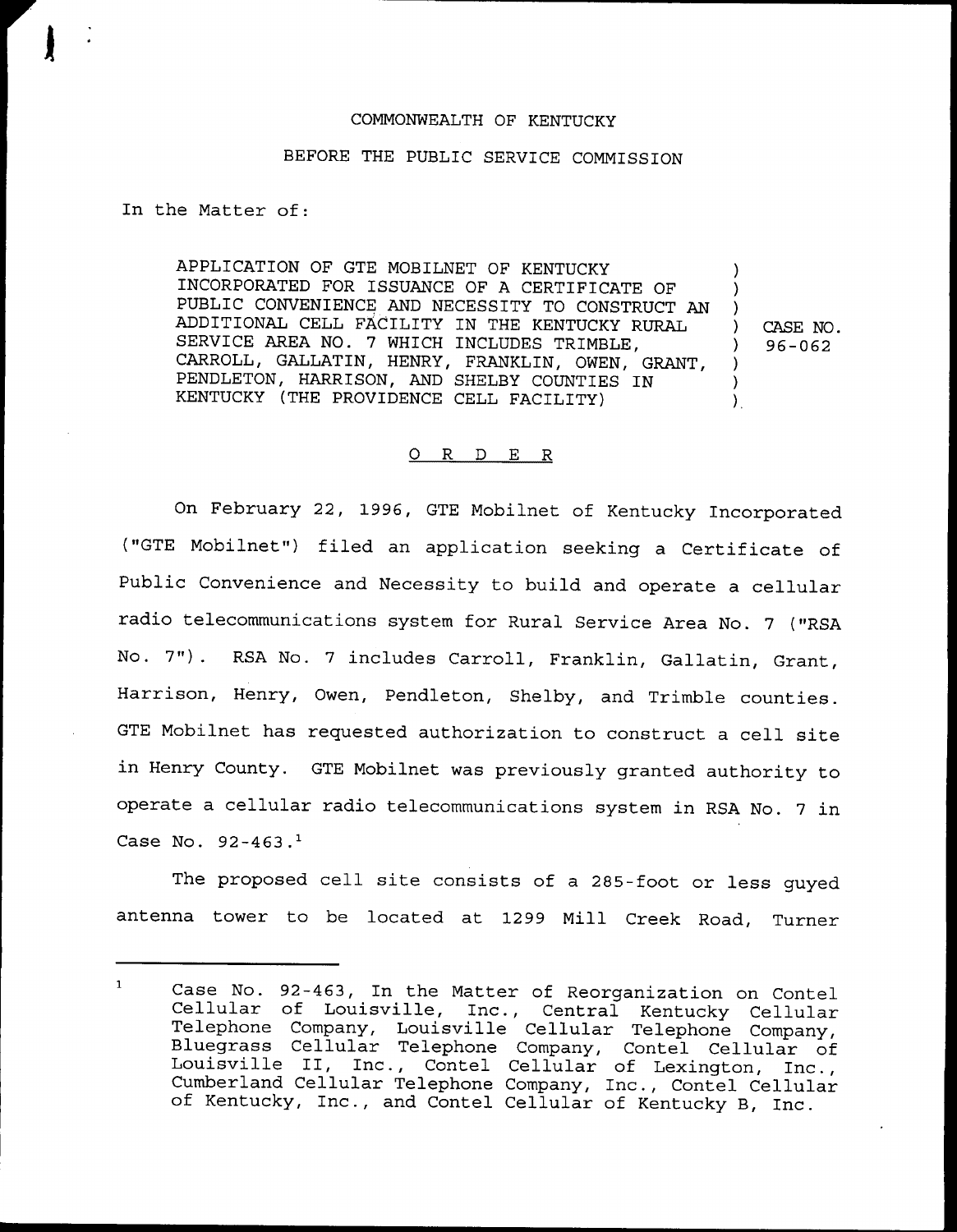## COMMONWEALTH OF KENTUCKY

## BEFORE THE PUBLIC SERVICE COMMISSION

In the Matter of:

APPLICATION OF GTE MOBILNET OF KENTUCKY INCORPORATED FOR ISSUANCE OF A CERTIFICATE OF PUBLIC CONVENIENCE AND NECESSITY TO CONSTRUCT AN ADDITIONAL CELL FACILITY IN THE KENTUCKY RURAL SERVICE AREA NO. 7 WHICH INCLUDES TRIMBLE, CARROLL, GALLATIN, HENRY, FRANKLIN, OWEN, GRANT, PENDLETON, HARRISON, AND SHELBY COUNTIES IN KENTUCKY (THE PROVIDENCE CELL FACILITY)

) CASE NO.<br>) 96-062 ) 96-062

) )  $\left\{ \right\}$ 

) ) ).

## ORDER

On February 22, 1996, GTE Mobilnet of Kentucky Incorporated ("GTE Mobilnet") filed an application seeking <sup>a</sup> Certificate of Public Convenience and Necessity to build and operate a cellular radio telecommunications system for Rural Service Area No. <sup>7</sup> ("RSA No. 7"). RSA No. <sup>7</sup> includes Carroll, Franklin, Gallatin, Grant, Harrison, Henry, Owen, Pendleton, Shelby, and Trimble counties. GTE Mobilnet has requested authorization to construct a cell site in Henry County. GTE Mobilnet was previously granted authority to operate a cellular radio telecommunications system in RSA No. <sup>7</sup> in Case No.  $92 - 463.1$ 

The proposed cell site consists of a 285-foot or less guyed antenna tower to be located at 1299 Mill Creek Road, Turner

 $\mathbf{1}$ Case No. 92-463, In the Matter of Reorganization on Contel Cellular of Louisville, Inc., Central Kentucky Cellular Telephone Company, Louisville Cellular Telephone Company, Bluegrass Cellular Telephone Company, Contel Cellular of Louisville II, Inc., Contel Cellular of Lexington, Inc., Cumberland Cellular Telephone Company, Inc., Contel Cellular of Kentucky, Inc., and Contel Cellular of Kentucky B, Inc.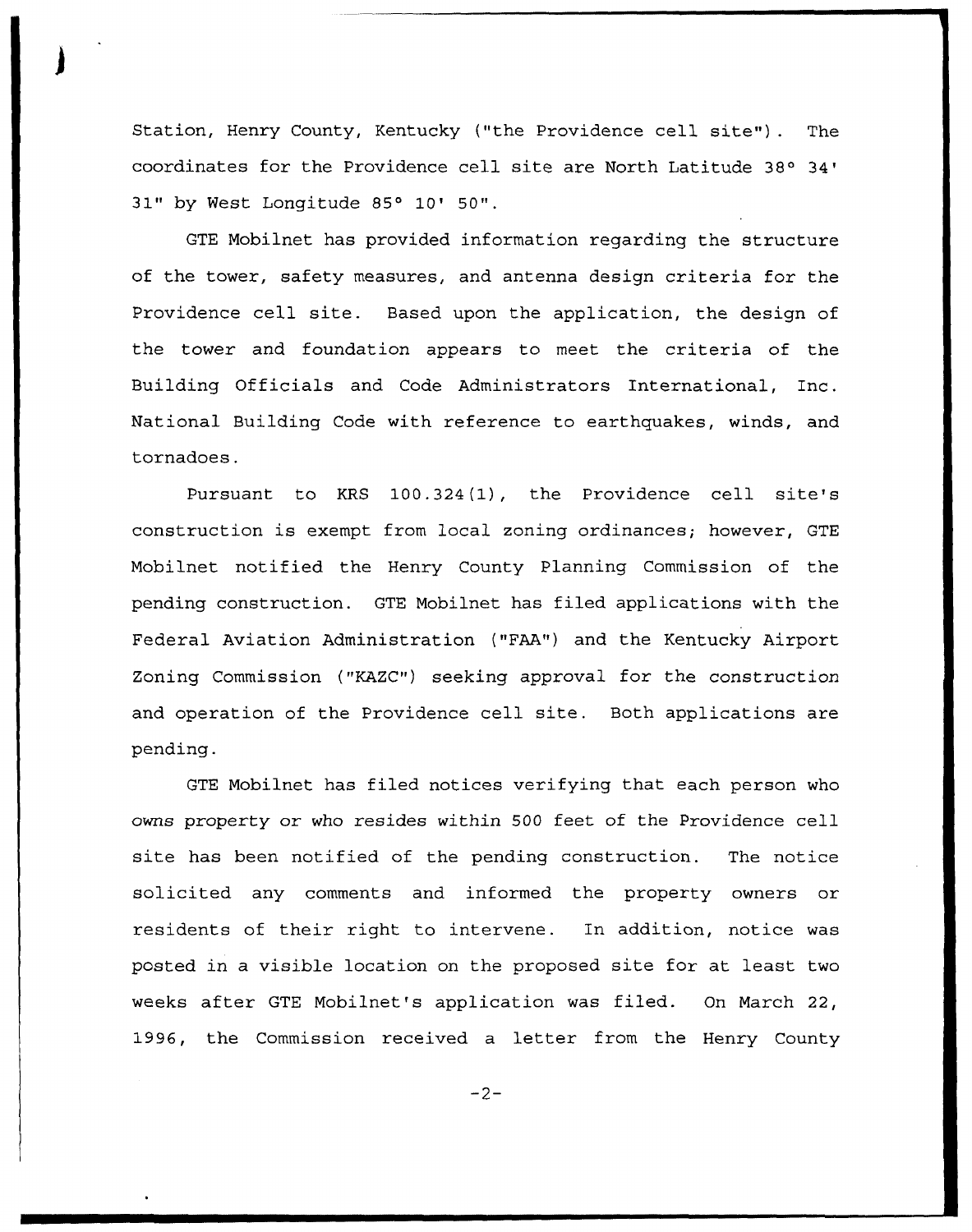Station, Henry County, Kentucky ("the Providence cell site") . The coordinates for the Providence cell site are North Latitude 31" by West Longitude 85° 10' 50".

GTE Mobilnet has provided information regarding the structure of the tower, safety measures, and antenna design criteria for the Providence cell site. Based upon the application, the design of the tower and foundation appears to meet the criteria of the Building Officials and Code Administrators International, Inc. National Building Code with reference to earthquakes, winds, and tornadoes.

Pursuant to KRS 100.324(1), the Providence cell site's construction is exempt from local zoning ordinances; however, GTE Mobilnet notified the Henry County Planning Commission of the pending construction. GTE Mobilnet has filed applications with the Federal Aviation Administration ("FAA") and the Kentucky Airport Zoning Commission ("KAZC") seeking approval for the construction and operation of the Providence cell site. Both applications are pending.

GTE Mobilnet has filed notices verifying that each person who owns property or who resides within 500 feet of the Providence cell site has been notified of the pending construction. The notice solicited any comments and informed the property owners or residents of their right to intervene. In addition, notice was posted in a visible location on the proposed site for at least two weeks after GTE Mobilnet's application was filed. On March 22, 1996, the Commission received a letter from the Henry County

 $-2-$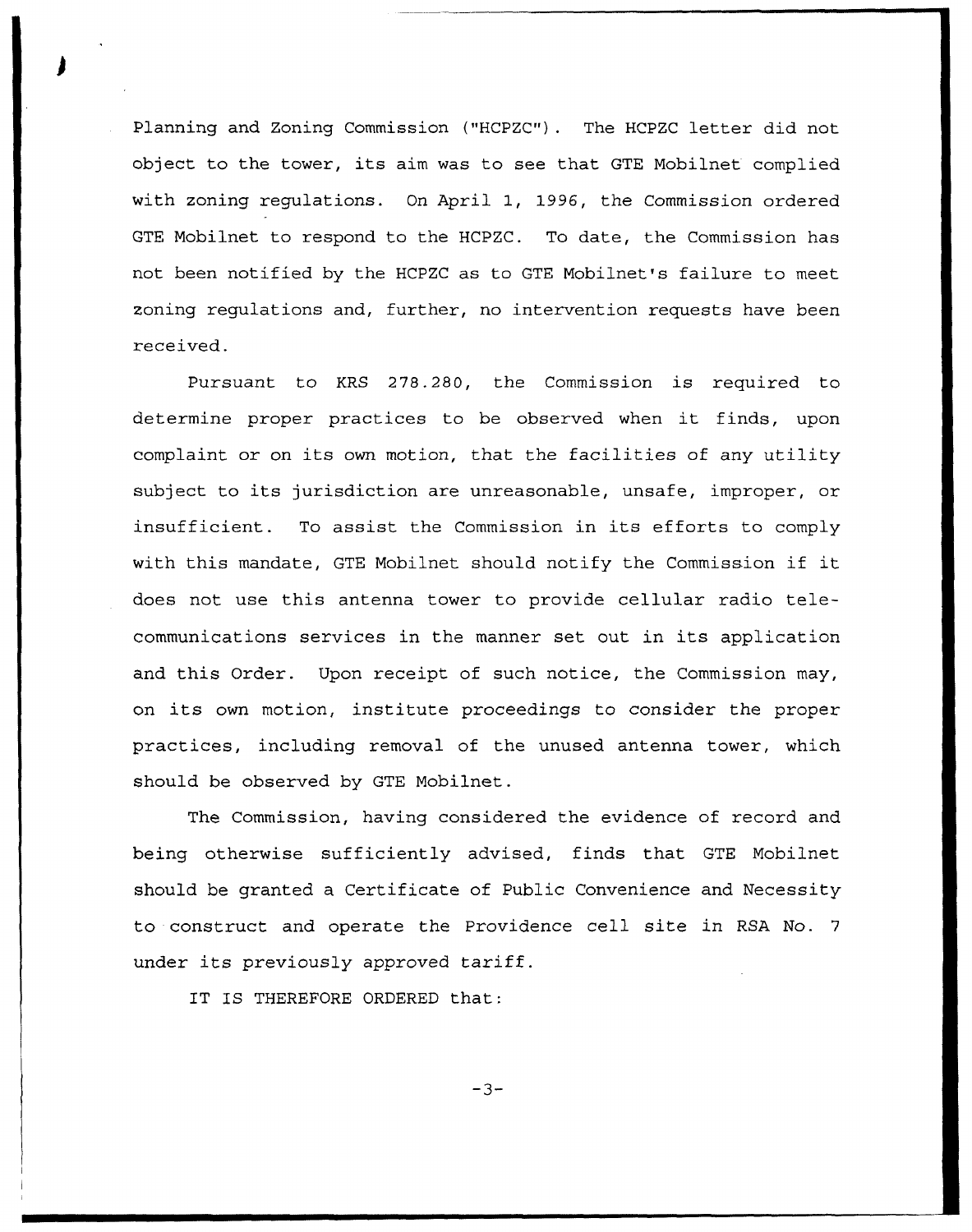Planning and Zoning Commission {"HCPZC"). The HCPZC letter did not object to the tower, its aim was to see that GTE Mobilnet complied with zoning regulations. On April 1, 1996, the Commission ordered GTE Mobilnet to respond to the HCPZC. To date, the Commission has not been notified by the HCPZC as to GTE Mobilnet's failure to meet zoning regulations and, further, no intervention requests have been received.

Pursuant to KRS 278.280, the Commission is required to determine proper practices to be observed when it finds, upon complaint or on its own motion, that the facilities of any utility subject to its jurisdiction are unreasonable, unsafe, improper, or insufficient. To assist the Commission in its efforts to comply with this mandate, GTE Mobilnet should notify the Commission if it does not use this antenna tower to provide cellular radio telecommunications services in the manner set out in its application and this Order. Upon receipt of such notice, the Commission may, on its own motion, institute proceedings to consider the proper practices, including removal of the unused antenna tower, which should be observed by GTE Mobilnet.

The Commission, having considered the evidence of record and being otherwise sufficiently advised, finds that GTE Mobilnet should be granted a Certificate of Public Convenience and Necessity to construct and operate the Providence cell site in RSA No. <sup>7</sup> under its previously approved tariff.

IT IS THEREFORE ORDERED that:

 $-3-$